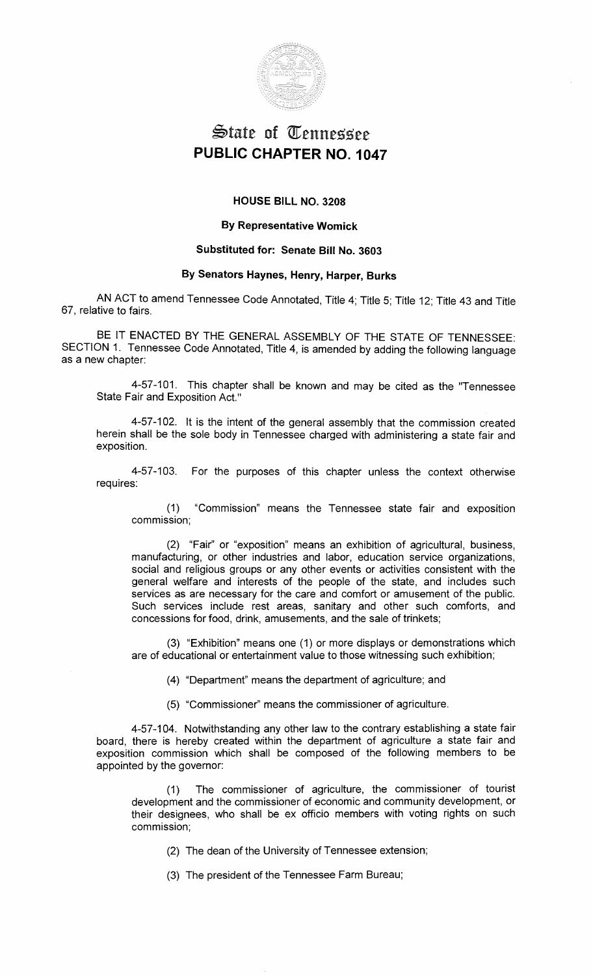

# $\mathfrak{S}$ tate of Tennessee **PUBLIC CHAPTER NO. 1047**

### **HOUSE BILL NO. 3208**

#### **By Representative Womick**

#### **Substituted for: Senate Bill No. 3603**

## **By Senators Haynes, Henry, Harper, Burks**

AN ACT to amend Tennessee Code Annotated, Title 4; Title 5; Title 12; Title 43 and Title 67, relative to fairs.

BE IT ENACTED BY THE GENERAL ASSEMBLY OF THE STATE OF TENNESSEE: SECTION 1. Tennessee Code Annotated, Title 4, is amended by adding the following language as a new chapter:

4-57-101. This chapter shall be known and may be cited as the "Tennessee State Fair and Exposition Act."

4-57-102. It is the intent of the general assembly that the commission created herein shall be the sole body in Tennessee charged with administering a state fair and exposition.

4-57-103. For the purposes of this chapter unless the context otherwise requires:

(1) "Commission" means the Tennessee state fair and exposition commission;

(2) "Fair'' or "exposition" means an exhibition of agricultural, business, manufacturing, or other industries and labor, education service organizations, social and religious groups or any other events or activities consistent with the general welfare and interests of the people of the state, and includes such services as are necessary for the care and comfort or amusement of the public. Such services include rest areas, sanitary and other such comforts, and concessions for food, drink, amusements, and the sale of trinkets;

(3) "Exhibition" means one (1) or more displays or demonstrations which are of educational or entertainment value to those witnessing such exhibition;

(4) "Department" means the department of agriculture; and

(5) "Commissioner" means the commissioner of agriculture.

4-57-104. Notwithstanding any other law to the contrary establishing a state fair board, there is hereby created within the department of agriculture a state fair and exposition commission which shall be composed of the following members to be appointed by the governor:

(1) The commissioner of agriculture, the commissioner of tourist development and the commissioner of economic and community development, or their designees, who shall be ex officio members with voting rights on such commission;

(2) The dean of the University of Tennessee extension;

(3) The president of the Tennessee Farm Bureau;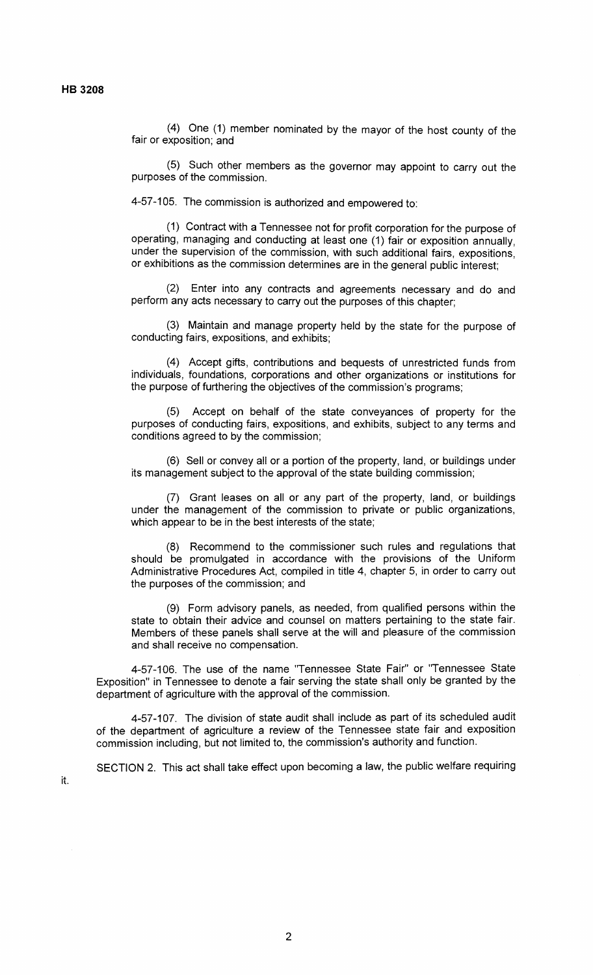(4) One (1) member nominated by the mayor of the host county of the fair or exposition; and

(5) Such other members as the governor may appoint to carry out the purposes of the commission.

4-57-105. The commission is authorized and empowered to:

(1) Contract with a Tennessee not for profit corporation for the purpose of operating, managing and conducting at least one (1) fair or exposition annually, under the supervision of the commission, with such additional fairs, expositions, or exhibitions as the commission determines are in the general public interest;

(2) Enter into any contracts and agreements necessary and do and perform any acts necessary to carry out the purposes of this chapter;

(3) Maintain and manage property held by the state for the purpose of conducting fairs, expositions, and exhibits;

(4) Accept gifts, contributions and bequests of unrestricted funds from individuals, foundations, corporations and other organizations or institutions for the purpose of furthering the objectives of the commission's programs;

Accept on behalf of the state conveyances of property for the purposes of conducting fairs, expositions, and exhibits, subject to any terms and conditions agreed to by the commission;

(6) Sell or convey all or a portion of the property, land, or buildings under its management subject to the approval of the state building commission;

(7) Grant leases on all or any part of the property, land, or buildings under the management of the commission to private or public organizations, which appear to be in the best interests of the state;

(8) Recommend to the commissioner such rules and regulations that should be promulgated in accordance with the provisions of the Uniform Administrative Procedures Act, compiled in title 4, chapter 5, in order to carry out the purposes of the commission; and

(9) Form advisory panels, as needed, from qualified persons within the state to obtain their advice and counsel on matters pertaining to the state fair. Members of these panels shall serve at the will and pleasure of the commission and shall receive no compensation.

4-57-106. The use of the name "Tennessee State Fair" or "Tennessee State Exposition" in Tennessee to denote a fair serving the state shall only be granted by the department of agriculture with the approval of the commission.

4-57-107. The division of state audit shall include as part of its scheduled audit of the department of agriculture a review of the Tennessee state fair and exposition commission including, but not limited to, the commission's authority and function.

SECTION 2. This act shall take effect upon becoming a law, the public welfare requiring

it.